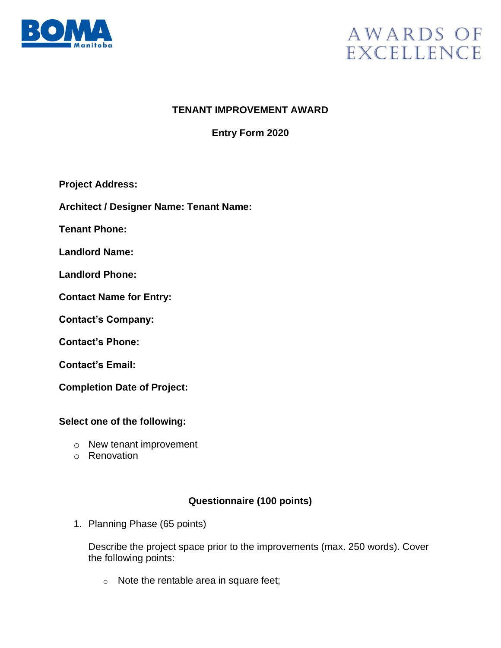

# AWARDS OF **EXCELLENCE**

### **TENANT IMPROVEMENT AWARD**

## **Entry Form 2020**

**Project Address:**

**Architect / Designer Name: Tenant Name:**

**Tenant Phone:**

**Landlord Name:**

**Landlord Phone:**

**Contact Name for Entry:** 

**Contact's Company:**

**Contact's Phone:**

**Contact's Email:** 

**Completion Date of Project:** 

#### **Select one of the following:**

- o New tenant improvement
- o Renovation

#### **Questionnaire (100 points)**

1. Planning Phase (65 points)

Describe the project space prior to the improvements (max. 250 words). Cover the following points:

o Note the rentable area in square feet;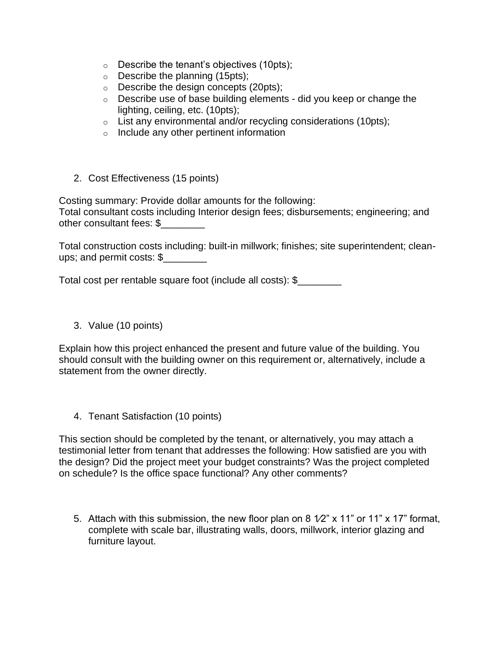- $\circ$  Describe the tenant's objectives (10pts);
- o Describe the planning (15pts);
- o Describe the design concepts (20pts);
- $\circ$  Describe use of base building elements did you keep or change the lighting, ceiling, etc. (10pts);
- o List any environmental and/or recycling considerations (10pts);
- o Include any other pertinent information
- 2. Cost Effectiveness (15 points)

Costing summary: Provide dollar amounts for the following: Total consultant costs including Interior design fees; disbursements; engineering; and other consultant fees: \$

Total construction costs including: built-in millwork; finishes; site superintendent; cleanups; and permit costs: \$\_\_\_\_\_\_\_\_

Total cost per rentable square foot (include all costs): \$\_\_\_\_\_\_\_\_

3. Value (10 points)

Explain how this project enhanced the present and future value of the building. You should consult with the building owner on this requirement or, alternatively, include a statement from the owner directly.

4. Tenant Satisfaction (10 points)

This section should be completed by the tenant, or alternatively, you may attach a testimonial letter from tenant that addresses the following: How satisfied are you with the design? Did the project meet your budget constraints? Was the project completed on schedule? Is the office space functional? Any other comments?

5. Attach with this submission, the new floor plan on 8  $1/2$ " x 11" or 11" x 17" format, complete with scale bar, illustrating walls, doors, millwork, interior glazing and furniture layout.